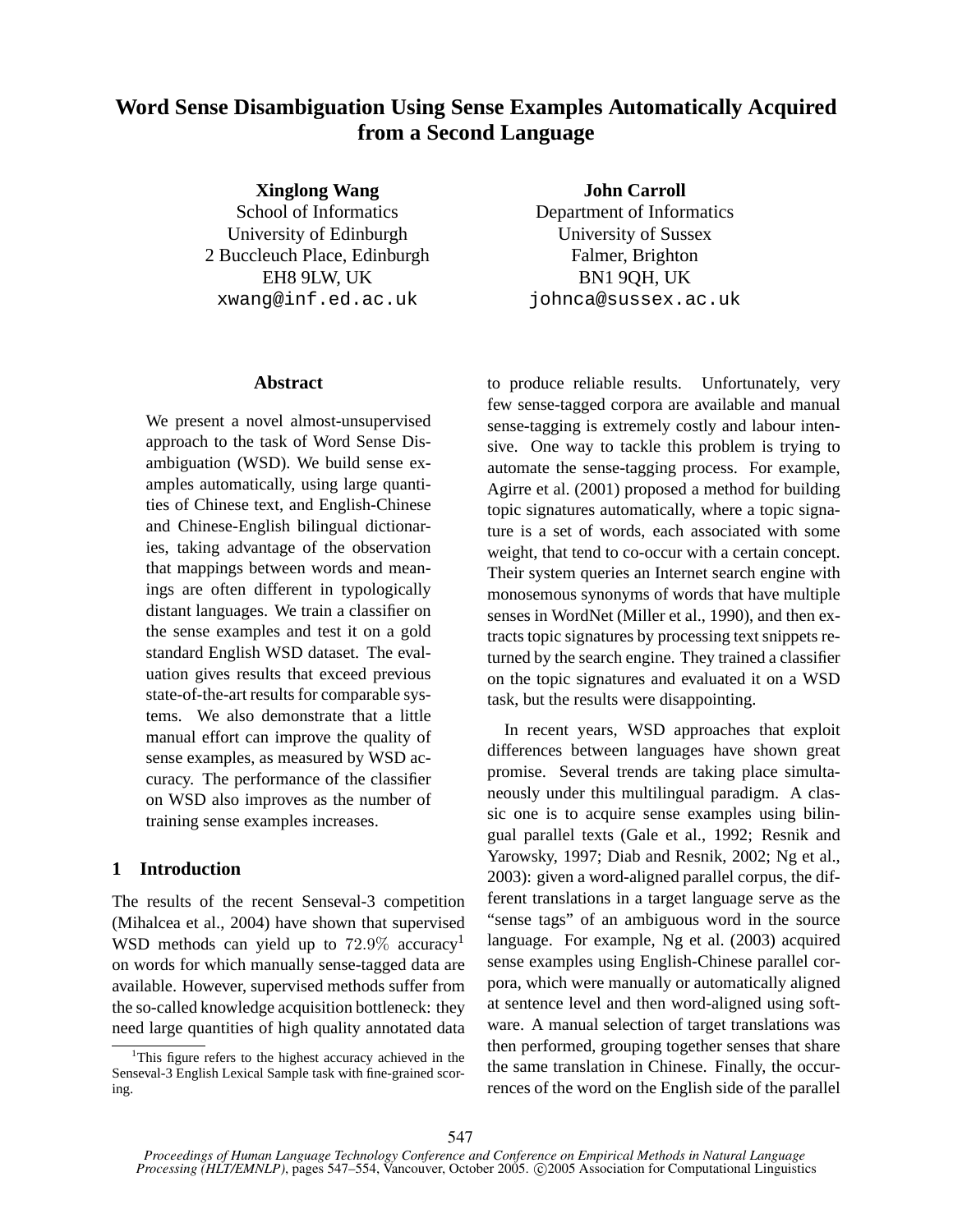# **Word Sense Disambiguation Using Sense Examples Automatically Acquired from a Second Language**

**Xinglong Wang** School of Informatics University of Edinburgh 2 Buccleuch Place, Edinburgh EH8 9LW, UK xwang@inf.ed.ac.uk

#### **Abstract**

We present a novel almost-unsupervised approach to the task of Word Sense Disambiguation (WSD). We build sense examples automatically, using large quantities of Chinese text, and English-Chinese and Chinese-English bilingual dictionaries, taking advantage of the observation that mappings between words and meanings are often different in typologically distant languages. We train a classifier on the sense examples and test it on a gold standard English WSD dataset. The evaluation gives results that exceed previous state-of-the-art results for comparable systems. We also demonstrate that a little manual effort can improve the quality of sense examples, as measured by WSD accuracy. The performance of the classifier on WSD also improves as the number of training sense examples increases.

### **1 Introduction**

The results of the recent Senseval-3 competition (Mihalcea et al., 2004) have shown that supervised WSD methods can yield up to  $72.9\%$  accuracy<sup>1</sup> on words for which manually sense-tagged data are available. However, supervised methods suffer from the so-called knowledge acquisition bottleneck: they need large quantities of high quality annotated data

**John Carroll** Department of Informatics University of Sussex Falmer, Brighton BN1 9QH, UK johnca@sussex.ac.uk

to produce reliable results. Unfortunately, very few sense-tagged corpora are available and manual sense-tagging is extremely costly and labour intensive. One way to tackle this problem is trying to automate the sense-tagging process. For example, Agirre et al. (2001) proposed a method for building topic signatures automatically, where a topic signature is a set of words, each associated with some weight, that tend to co-occur with a certain concept. Their system queries an Internet search engine with monosemous synonyms of words that have multiple senses in WordNet (Miller et al., 1990), and then extracts topic signatures by processing text snippets returned by the search engine. They trained a classifier on the topic signatures and evaluated it on a WSD task, but the results were disappointing.

In recent years, WSD approaches that exploit differences between languages have shown great promise. Several trends are taking place simultaneously under this multilingual paradigm. A classic one is to acquire sense examples using bilingual parallel texts (Gale et al., 1992; Resnik and Yarowsky, 1997; Diab and Resnik, 2002; Ng et al., 2003): given a word-aligned parallel corpus, the different translations in a target language serve as the "sense tags" of an ambiguous word in the source language. For example, Ng et al. (2003) acquired sense examples using English-Chinese parallel corpora, which were manually or automatically aligned at sentence level and then word-aligned using software. A manual selection of target translations was then performed, grouping together senses that share the same translation in Chinese. Finally, the occurrences of the word on the English side of the parallel

<sup>&</sup>lt;sup>1</sup>This figure refers to the highest accuracy achieved in the Senseval-3 English Lexical Sample task with fine-grained scoring.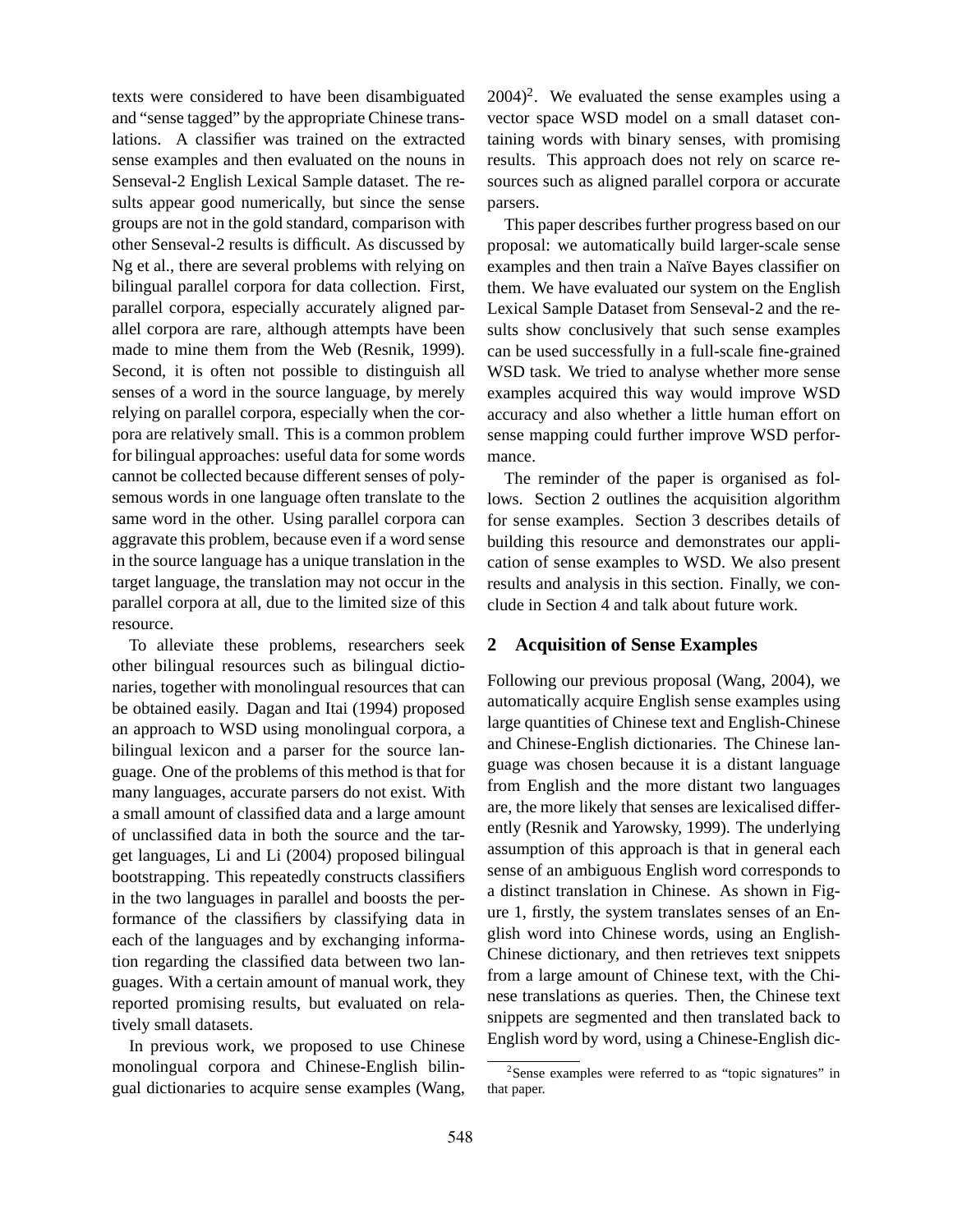texts were considered to have been disambiguated and "sense tagged" by the appropriate Chinese translations. A classifier was trained on the extracted sense examples and then evaluated on the nouns in Senseval-2 English Lexical Sample dataset. The results appear good numerically, but since the sense groups are not in the gold standard, comparison with other Senseval-2 results is difficult. As discussed by Ng et al., there are several problems with relying on bilingual parallel corpora for data collection. First, parallel corpora, especially accurately aligned parallel corpora are rare, although attempts have been made to mine them from the Web (Resnik, 1999). Second, it is often not possible to distinguish all senses of a word in the source language, by merely relying on parallel corpora, especially when the corpora are relatively small. This is a common problem for bilingual approaches: useful data for some words cannot be collected because different senses of polysemous words in one language often translate to the same word in the other. Using parallel corpora can aggravate this problem, because even if a word sense in the source language has a unique translation in the target language, the translation may not occur in the parallel corpora at all, due to the limited size of this resource.

To alleviate these problems, researchers seek other bilingual resources such as bilingual dictionaries, together with monolingual resources that can be obtained easily. Dagan and Itai (1994) proposed an approach to WSD using monolingual corpora, a bilingual lexicon and a parser for the source language. One of the problems of this method is that for many languages, accurate parsers do not exist. With a small amount of classified data and a large amount of unclassified data in both the source and the target languages, Li and Li (2004) proposed bilingual bootstrapping. This repeatedly constructs classifiers in the two languages in parallel and boosts the performance of the classifiers by classifying data in each of the languages and by exchanging information regarding the classified data between two languages. With a certain amount of manual work, they reported promising results, but evaluated on relatively small datasets.

In previous work, we proposed to use Chinese monolingual corpora and Chinese-English bilingual dictionaries to acquire sense examples (Wang,

 $(2004)^2$ . We evaluated the sense examples using a vector space WSD model on a small dataset containing words with binary senses, with promising results. This approach does not rely on scarce resources such as aligned parallel corpora or accurate parsers.

This paper describes further progress based on our proposal: we automatically build larger-scale sense examples and then train a Naïve Bayes classifier on them. We have evaluated our system on the English Lexical Sample Dataset from Senseval-2 and the results show conclusively that such sense examples can be used successfully in a full-scale fine-grained WSD task. We tried to analyse whether more sense examples acquired this way would improve WSD accuracy and also whether a little human effort on sense mapping could further improve WSD performance.

The reminder of the paper is organised as follows. Section 2 outlines the acquisition algorithm for sense examples. Section 3 describes details of building this resource and demonstrates our application of sense examples to WSD. We also present results and analysis in this section. Finally, we conclude in Section 4 and talk about future work.

### **2 Acquisition of Sense Examples**

Following our previous proposal (Wang, 2004), we automatically acquire English sense examples using large quantities of Chinese text and English-Chinese and Chinese-English dictionaries. The Chinese language was chosen because it is a distant language from English and the more distant two languages are, the more likely that senses are lexicalised differently (Resnik and Yarowsky, 1999). The underlying assumption of this approach is that in general each sense of an ambiguous English word corresponds to a distinct translation in Chinese. As shown in Figure 1, firstly, the system translates senses of an English word into Chinese words, using an English-Chinese dictionary, and then retrieves text snippets from a large amount of Chinese text, with the Chinese translations as queries. Then, the Chinese text snippets are segmented and then translated back to English word by word, using a Chinese-English dic-

<sup>&</sup>lt;sup>2</sup>Sense examples were referred to as "topic signatures" in that paper.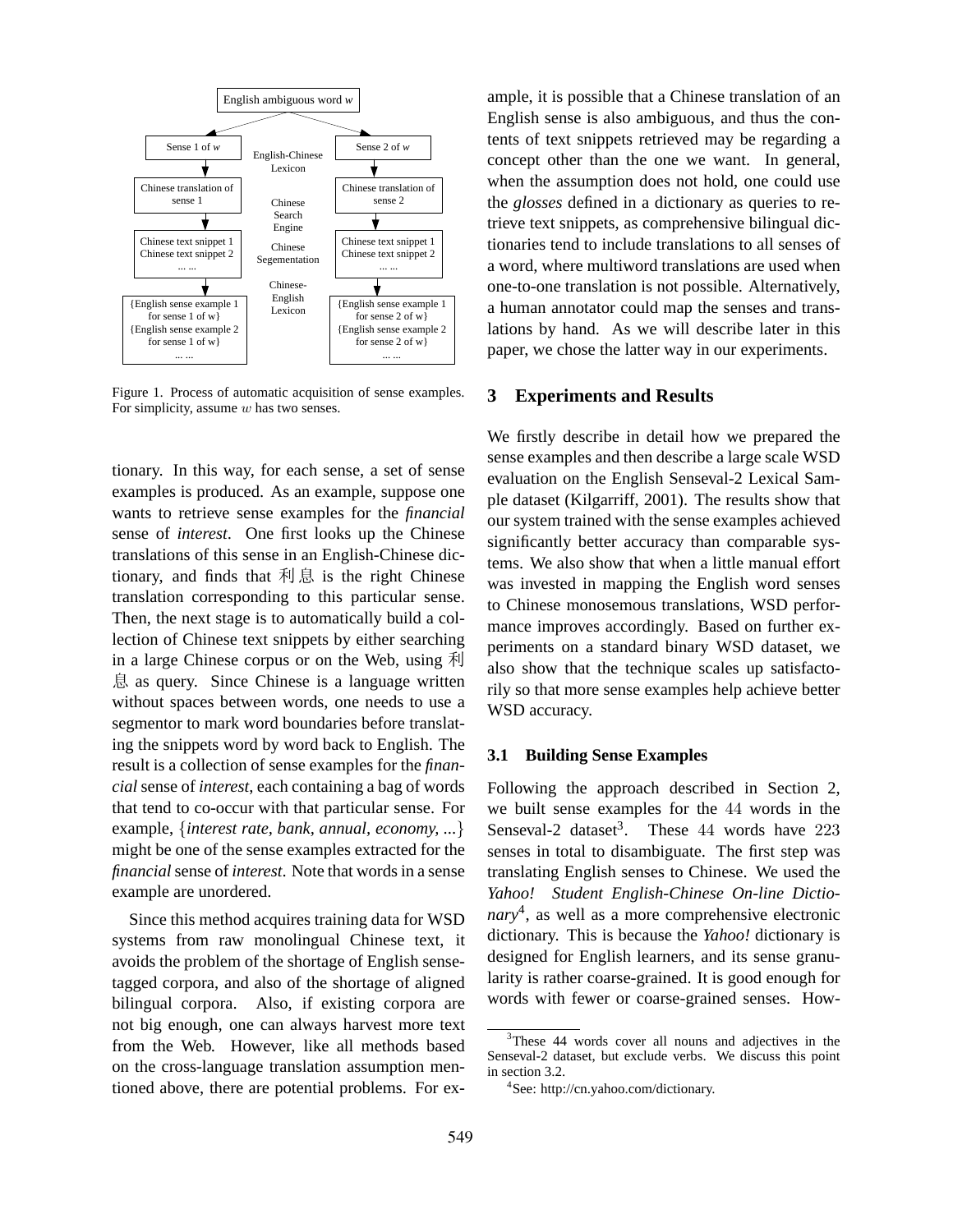

Figure 1. Process of automatic acquisition of sense examples. For simplicity, assume  $w$  has two senses.

tionary. In this way, for each sense, a set of sense examples is produced. As an example, suppose one wants to retrieve sense examples for the *financial* sense of *interest*. One first looks up the Chinese translations of this sense in an English-Chinese dictionary, and finds that  $\overline{A}$   $\overline{B}$  is the right Chinese translation corresponding to this particular sense. Then, the next stage is to automatically build a collection of Chinese text snippets by either searching in a large Chinese corpus or on the Web, using  $\bar{x}$ E as query. Since Chinese is a language written without spaces between words, one needs to use a segmentor to mark word boundaries before translating the snippets word by word back to English. The result is a collection of sense examples for the *financial* sense of *interest*, each containing a bag of words that tend to co-occur with that particular sense. For example, {*interest rate, bank, annual, economy, ...*} might be one of the sense examples extracted for the *financial*sense of *interest*. Note that words in a sense example are unordered.

Since this method acquires training data for WSD systems from raw monolingual Chinese text, it avoids the problem of the shortage of English sensetagged corpora, and also of the shortage of aligned bilingual corpora. Also, if existing corpora are not big enough, one can always harvest more text from the Web. However, like all methods based on the cross-language translation assumption mentioned above, there are potential problems. For example, it is possible that a Chinese translation of an English sense is also ambiguous, and thus the contents of text snippets retrieved may be regarding a concept other than the one we want. In general, when the assumption does not hold, one could use the *glosses* defined in a dictionary as queries to retrieve text snippets, as comprehensive bilingual dictionaries tend to include translations to all senses of a word, where multiword translations are used when one-to-one translation is not possible. Alternatively, a human annotator could map the senses and translations by hand. As we will describe later in this paper, we chose the latter way in our experiments.

#### **3 Experiments and Results**

We firstly describe in detail how we prepared the sense examples and then describe a large scale WSD evaluation on the English Senseval-2 Lexical Sample dataset (Kilgarriff, 2001). The results show that our system trained with the sense examples achieved significantly better accuracy than comparable systems. We also show that when a little manual effort was invested in mapping the English word senses to Chinese monosemous translations, WSD performance improves accordingly. Based on further experiments on a standard binary WSD dataset, we also show that the technique scales up satisfactorily so that more sense examples help achieve better WSD accuracy.

### **3.1 Building Sense Examples**

Following the approach described in Section 2, we built sense examples for the 44 words in the Senseval-2 dataset<sup>3</sup>. These 44 words have  $223$ senses in total to disambiguate. The first step was translating English senses to Chinese. We used the *Yahoo! Student English-Chinese On-line Dictionary*<sup>4</sup> , as well as a more comprehensive electronic dictionary. This is because the *Yahoo!* dictionary is designed for English learners, and its sense granularity is rather coarse-grained. It is good enough for words with fewer or coarse-grained senses. How-

<sup>&</sup>lt;sup>3</sup>These 44 words cover all nouns and adjectives in the Senseval-2 dataset, but exclude verbs. We discuss this point in section 3.2.

<sup>4</sup> See: http://cn.yahoo.com/dictionary.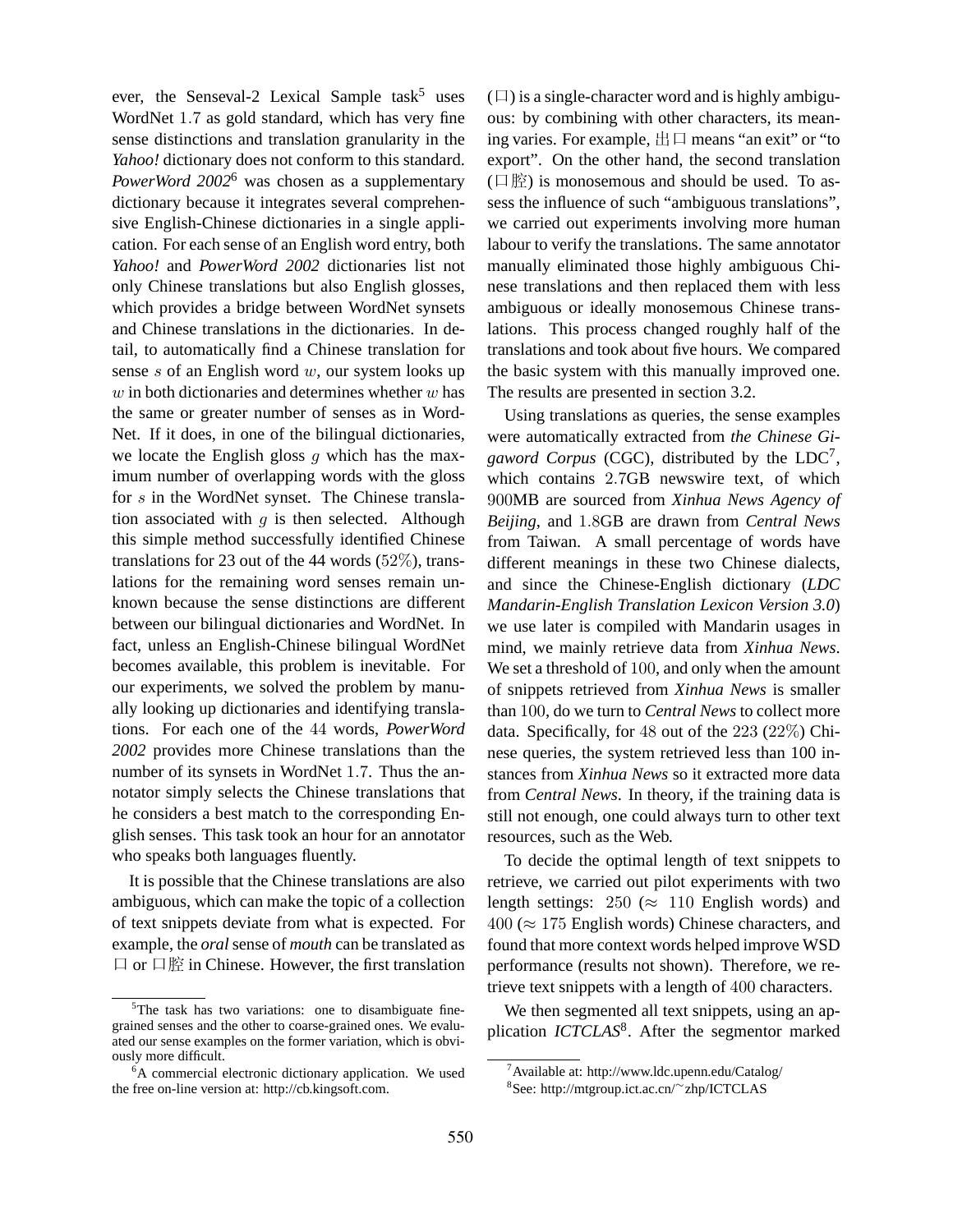ever, the Senseval-2 Lexical Sample  $task^5$  uses WordNet 1.7 as gold standard, which has very fine sense distinctions and translation granularity in the *Yahoo!* dictionary does not conform to this standard. *PowerWord 2002*<sup>6</sup> was chosen as a supplementary dictionary because it integrates several comprehensive English-Chinese dictionaries in a single application. For each sense of an English word entry, both *Yahoo!* and *PowerWord 2002* dictionaries list not only Chinese translations but also English glosses, which provides a bridge between WordNet synsets and Chinese translations in the dictionaries. In detail, to automatically find a Chinese translation for sense s of an English word w, our system looks up  $w$  in both dictionaries and determines whether  $w$  has the same or greater number of senses as in Word-Net. If it does, in one of the bilingual dictionaries, we locate the English gloss  $q$  which has the maximum number of overlapping words with the gloss for s in the WordNet synset. The Chinese translation associated with  $q$  is then selected. Although this simple method successfully identified Chinese translations for 23 out of the 44 words (52%), translations for the remaining word senses remain unknown because the sense distinctions are different between our bilingual dictionaries and WordNet. In fact, unless an English-Chinese bilingual WordNet becomes available, this problem is inevitable. For our experiments, we solved the problem by manually looking up dictionaries and identifying translations. For each one of the 44 words, *PowerWord 2002* provides more Chinese translations than the number of its synsets in WordNet 1.7. Thus the annotator simply selects the Chinese translations that he considers a best match to the corresponding English senses. This task took an hour for an annotator who speaks both languages fluently.

It is possible that the Chinese translations are also ambiguous, which can make the topic of a collection of text snippets deviate from what is expected. For example, the *oral* sense of *mouth* can be translated as  $\Box$  or  $\Box$   $\mathbb{R}$  in Chinese. However, the first translation  $(\Box)$  is a single-character word and is highly ambiguous: by combining with other characters, its meaning varies. For example,  $\boxplus \Box$  means "an exit" or "to export". On the other hand, the second translation  $(\Box \mathbb{E})$  is monosemous and should be used. To assess the influence of such "ambiguous translations", we carried out experiments involving more human labour to verify the translations. The same annotator manually eliminated those highly ambiguous Chinese translations and then replaced them with less ambiguous or ideally monosemous Chinese translations. This process changed roughly half of the translations and took about five hours. We compared the basic system with this manually improved one. The results are presented in section 3.2.

Using translations as queries, the sense examples were automatically extracted from *the Chinese Gi*gaword Corpus (CGC), distributed by the LDC<sup>7</sup>, which contains 2.7GB newswire text, of which 900MB are sourced from *Xinhua News Agency of Beijing*, and 1.8GB are drawn from *Central News* from Taiwan. A small percentage of words have different meanings in these two Chinese dialects, and since the Chinese-English dictionary (*LDC Mandarin-English Translation Lexicon Version 3.0*) we use later is compiled with Mandarin usages in mind, we mainly retrieve data from *Xinhua News*. We set a threshold of 100, and only when the amount of snippets retrieved from *Xinhua News* is smaller than 100, do we turn to *Central News* to collect more data. Specifically, for 48 out of the 223 (22%) Chinese queries, the system retrieved less than 100 instances from *Xinhua News* so it extracted more data from *Central News*. In theory, if the training data is still not enough, one could always turn to other text resources, such as the Web.

To decide the optimal length of text snippets to retrieve, we carried out pilot experiments with two length settings: 250 ( $\approx$  110 English words) and  $400 \approx 175$  English words) Chinese characters, and found that more context words helped improve WSD performance (results not shown). Therefore, we retrieve text snippets with a length of 400 characters.

We then segmented all text snippets, using an application *ICTCLAS*<sup>8</sup> . After the segmentor marked

<sup>&</sup>lt;sup>5</sup>The task has two variations: one to disambiguate finegrained senses and the other to coarse-grained ones. We evaluated our sense examples on the former variation, which is obviously more difficult.

<sup>&</sup>lt;sup>6</sup>A commercial electronic dictionary application. We used the free on-line version at: http://cb.kingsoft.com.

 $^7$ Available at: http://www.ldc.upenn.edu/Catalog/ 8 See: http://mtgroup.ict.ac.cn/<sup>∼</sup>zhp/ICTCLAS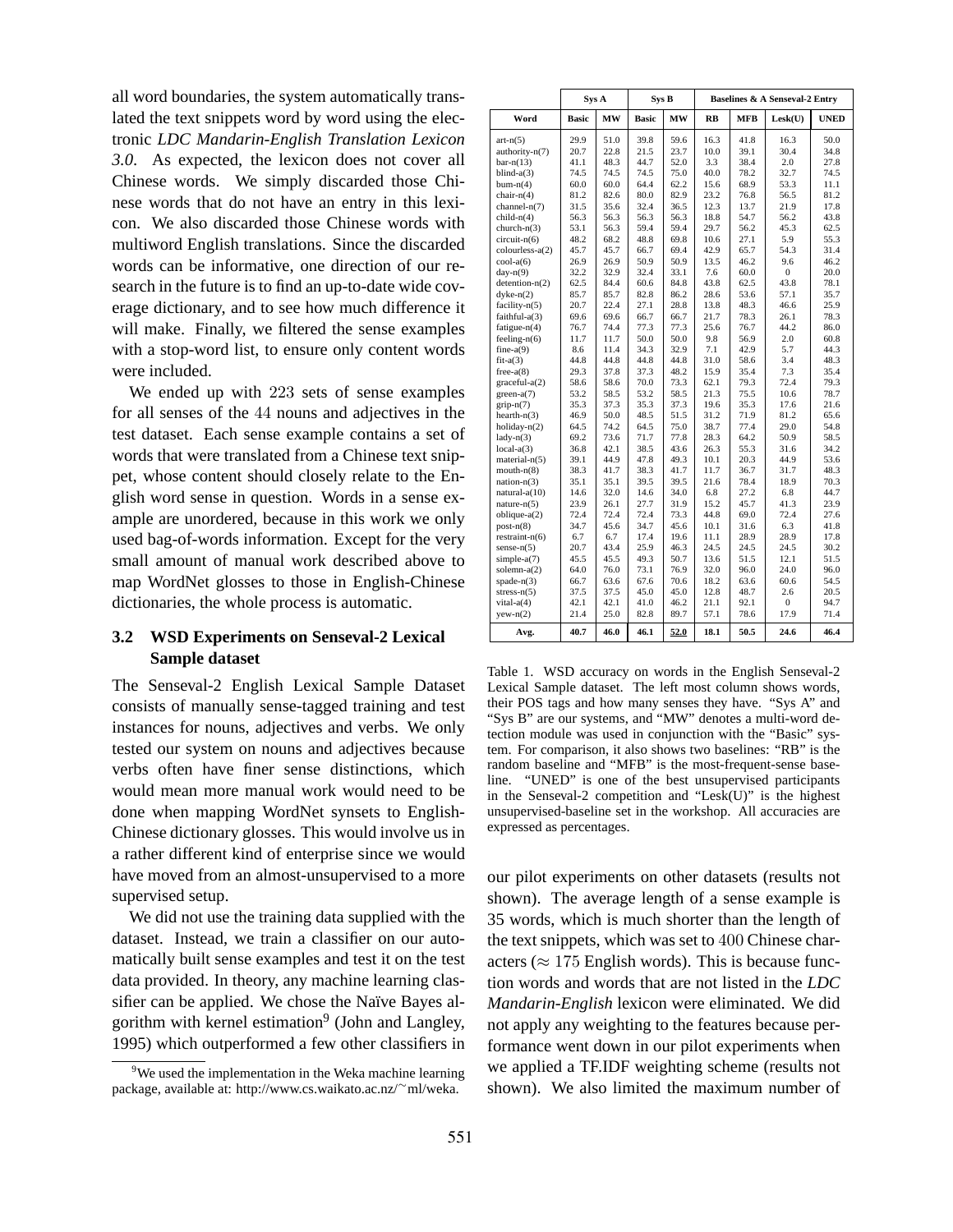all word boundaries, the system automatically translated the text snippets word by word using the electronic *LDC Mandarin-English Translation Lexicon 3.0*. As expected, the lexicon does not cover all Chinese words. We simply discarded those Chinese words that do not have an entry in this lexicon. We also discarded those Chinese words with multiword English translations. Since the discarded words can be informative, one direction of our research in the future is to find an up-to-date wide coverage dictionary, and to see how much difference it will make. Finally, we filtered the sense examples with a stop-word list, to ensure only content words were included.

We ended up with 223 sets of sense examples for all senses of the 44 nouns and adjectives in the test dataset. Each sense example contains a set of words that were translated from a Chinese text snippet, whose content should closely relate to the English word sense in question. Words in a sense example are unordered, because in this work we only used bag-of-words information. Except for the very small amount of manual work described above to map WordNet glosses to those in English-Chinese dictionaries, the whole process is automatic.

# **3.2 WSD Experiments on Senseval-2 Lexical Sample dataset**

The Senseval-2 English Lexical Sample Dataset consists of manually sense-tagged training and test instances for nouns, adjectives and verbs. We only tested our system on nouns and adjectives because verbs often have finer sense distinctions, which would mean more manual work would need to be done when mapping WordNet synsets to English-Chinese dictionary glosses. This would involve us in a rather different kind of enterprise since we would have moved from an almost-unsupervised to a more supervised setup.

We did not use the training data supplied with the dataset. Instead, we train a classifier on our automatically built sense examples and test it on the test data provided. In theory, any machine learning classifier can be applied. We chose the Naïve Bayes algorithm with kernel estimation<sup>9</sup> (John and Langley, 1995) which outperformed a few other classifiers in

|                    | Sys A        |           | Sys B        |           | <b>Baselines &amp; A Senseval-2 Entry</b> |            |                             |             |
|--------------------|--------------|-----------|--------------|-----------|-------------------------------------------|------------|-----------------------------|-------------|
| Word               | <b>Basic</b> | <b>MW</b> | <b>Basic</b> | <b>MW</b> | <b>RB</b>                                 | <b>MFB</b> | $\mathbf{Lesk}(\mathbf{U})$ | <b>UNED</b> |
| $art-n(5)$         | 29.9         | 51.0      | 39.8         | 59.6      | 16.3                                      | 41.8       | 16.3                        | 50.0        |
| authority-n(7)     | 20.7         | 22.8      | 21.5         | 23.7      | 10.0                                      | 39.1       | 30.4                        | 34.8        |
| $bar-n(13)$        | 41.1         | 48.3      | 44.7         | 52.0      | 3.3                                       | 38.4       | 2.0                         | 27.8        |
| $blind-a(3)$       | 74.5         | 74.5      | 74.5         | 75.0      | 40.0                                      | 78.2       | 32.7                        | 74.5        |
| $bum-n(4)$         | 60.0         | 60.0      | 64.4         | 62.2      | 15.6                                      | 68.9       | 53.3                        | 11.1        |
| chair- $n(4)$      | 81.2         | 82.6      | 80.0         | 82.9      | 23.2                                      | 76.8       | 56.5                        | 81.2        |
| channel- $n(7)$    | 31.5         | 35.6      | 32.4         | 36.5      | 12.3                                      | 13.7       | 21.9                        | 17.8        |
| $child-n(4)$       | 56.3         | 56.3      | 56.3         | 56.3      | 18.8                                      | 54.7       | 56.2                        | 43.8        |
| $church-n(3)$      | 53.1         | 56.3      | 59.4         | 59.4      | 29.7                                      | 56.2       | 45.3                        | 62.5        |
| $circuit-n(6)$     | 48.2         | 68.2      | 48.8         | 69.8      | 10.6                                      | 27.1       | 5.9                         | 55.3        |
| $colorless-a(2)$   | 45.7         | 45.7      | 66.7         | 69.4      | 42.9                                      | 65.7       | 54.3                        | 31.4        |
| $\text{cool-a}(6)$ | 26.9         | 26.9      | 50.9         | 50.9      | 13.5                                      | 46.2       | 9.6                         | 46.2        |
| $day-n(9)$         | 32.2         | 32.9      | 32.4         | 33.1      | 7.6                                       | 60.0       | $\mathbf{0}$                | 20.0        |
| $detection-n(2)$   | 62.5         | 84.4      | 60.6         | 84.8      | 43.8                                      | 62.5       | 43.8                        | 78.1        |
| $dyke-n(2)$        | 85.7         | 85.7      | 82.8         | 86.2      | 28.6                                      | 53.6       | 57.1                        | 35.7        |
| $facility-n(5)$    | 20.7         | 22.4      | 27.1         | 28.8      | 13.8                                      | 48.3       | 46.6                        | 25.9        |
| faithful-a(3)      | 69.6         | 69.6      | 66.7         | 66.7      | 21.7                                      | 78.3       | 26.1                        | 78.3        |
| fatigue-n(4)       | 76.7         | 74.4      | 77.3         | 77.3      | 25.6                                      | 76.7       | 44.2                        | 86.0        |
| $feeling-n(6)$     | 11.7         | 11.7      | 50.0         | 50.0      | 9.8                                       | 56.9       | 2.0                         | 60.8        |
| fine- $a(9)$       | 8.6          | 11.4      | 34.3         | 32.9      | 7.1                                       | 42.9       | 5.7                         | 44.3        |
| $fit-a(3)$         | 44.8         | 44.8      | 44.8         | 44.8      | 31.0                                      | 58.6       | 3.4                         | 48.3        |
| $free-a(8)$        | 29.3         | 37.8      | 37.3         | 48.2      | 15.9                                      | 35.4       | 7.3                         | 35.4        |
| $graceful-a(2)$    | 58.6         | 58.6      | 70.0         | 73.3      | 62.1                                      | 79.3       | 72.4                        | 79.3        |
| $green-a(7)$       | 53.2         | 58.5      | 53.2         | 58.5      | 21.3                                      | 75.5       | 10.6                        | 78.7        |
| $grip-n(7)$        | 35.3         | 37.3      | 35.3         | 37.3      | 19.6                                      | 35.3       | 17.6                        | 21.6        |
| $hearth-n(3)$      | 46.9         | 50.0      | 48.5         | 51.5      | 31.2                                      | 71.9       | 81.2                        | 65.6        |
| $holiday-n(2)$     | 64.5         | 74.2      | 64.5         | 75.0      | 38.7                                      | 77.4       | 29.0                        | 54.8        |
| $lady-n(3)$        | 69.2         | 73.6      | 71.7         | 77.8      | 28.3                                      | 64.2       | 50.9                        | 58.5        |
| $local-a(3)$       | 36.8         | 42.1      | 38.5         | 43.6      | 26.3                                      | 55.3       | 31.6                        | 34.2        |
| $material-n(5)$    | 39.1         | 44.9      | 47.8         | 49.3      | 10.1                                      | 20.3       | 44.9                        | 53.6        |
| $mouth-n(8)$       | 38.3         | 41.7      | 38.3         | 41.7      | 11.7                                      | 36.7       | 31.7                        | 48.3        |
| $nation-n(3)$      | 35.1         | 35.1      | 39.5         | 39.5      | 21.6                                      | 78.4       | 18.9                        | 70.3        |
| natural-a(10)      | 14.6         | 32.0      | 14.6         | 34.0      | 6.8                                       | 27.2       | 6.8                         | 44.7        |
| nature- $n(5)$     | 23.9         | 26.1      | 27.7         | 31.9      | 15.2                                      | 45.7       | 41.3                        | 23.9        |
| oblique-a(2)       | 72.4         | 72.4      | 72.4         | 73.3      | 44.8                                      | 69.0       | 72.4                        | 27.6        |
| $post-n(8)$        | 34.7         | 45.6      | 34.7         | 45.6      | 10.1                                      | 31.6       | 6.3                         | 41.8        |
| $restraint-n(6)$   | 6.7          | 6.7       | 17.4         | 19.6      | 11.1                                      | 28.9       | 28.9                        | 17.8        |
| sense- $n(5)$      | 20.7         | 43.4      | 25.9         | 46.3      | 24.5                                      | 24.5       | 24.5                        | 30.2        |
| simple- $a(7)$     | 45.5         | 45.5      | 49.3         | 50.7      | 13.6                                      | 51.5       | 12.1                        | 51.5        |
| solemn- $a(2)$     | 64.0         | 76.0      | 73.1         | 76.9      | 32.0                                      | 96.0       | 24.0                        | 96.0        |
| spade- $n(3)$      | 66.7         | 63.6      | 67.6         | 70.6      | 18.2                                      | 63.6       | 60.6                        | 54.5        |
| stress- $n(5)$     | 37.5         | 37.5      | 45.0         | 45.0      | 12.8                                      | 48.7       | 2.6                         | 20.5        |
| $vital-a(4)$       | 42.1         | 42.1      | 41.0         | 46.2      | 21.1                                      | 92.1       | $\mathbf{0}$                | 94.7        |
| $vew-n(2)$         | 21.4         | 25.0      | 82.8         | 89.7      | 57.1                                      | 78.6       | 17.9                        | 71.4        |
| Avg.               | 40.7         | 46.0      | 46.1         | 52.0      | 18.1                                      | 50.5       | 24.6                        | 46.4        |

Table 1. WSD accuracy on words in the English Senseval-2 Lexical Sample dataset. The left most column shows words, their POS tags and how many senses they have. "Sys A" and "Sys B" are our systems, and "MW" denotes a multi-word detection module was used in conjunction with the "Basic" system. For comparison, it also shows two baselines: "RB" is the random baseline and "MFB" is the most-frequent-sense baseline. "UNED" is one of the best unsupervised participants in the Senseval-2 competition and "Lesk(U)" is the highest unsupervised-baseline set in the workshop. All accuracies are expressed as percentages.

our pilot experiments on other datasets (results not shown). The average length of a sense example is 35 words, which is much shorter than the length of the text snippets, which was set to 400 Chinese characters ( $\approx$  175 English words). This is because function words and words that are not listed in the *LDC Mandarin-English* lexicon were eliminated. We did not apply any weighting to the features because performance went down in our pilot experiments when we applied a TF.IDF weighting scheme (results not shown). We also limited the maximum number of

<sup>&</sup>lt;sup>9</sup>We used the implementation in the Weka machine learning package, available at: http://www.cs.waikato.ac.nz/<sup>∼</sup>ml/weka.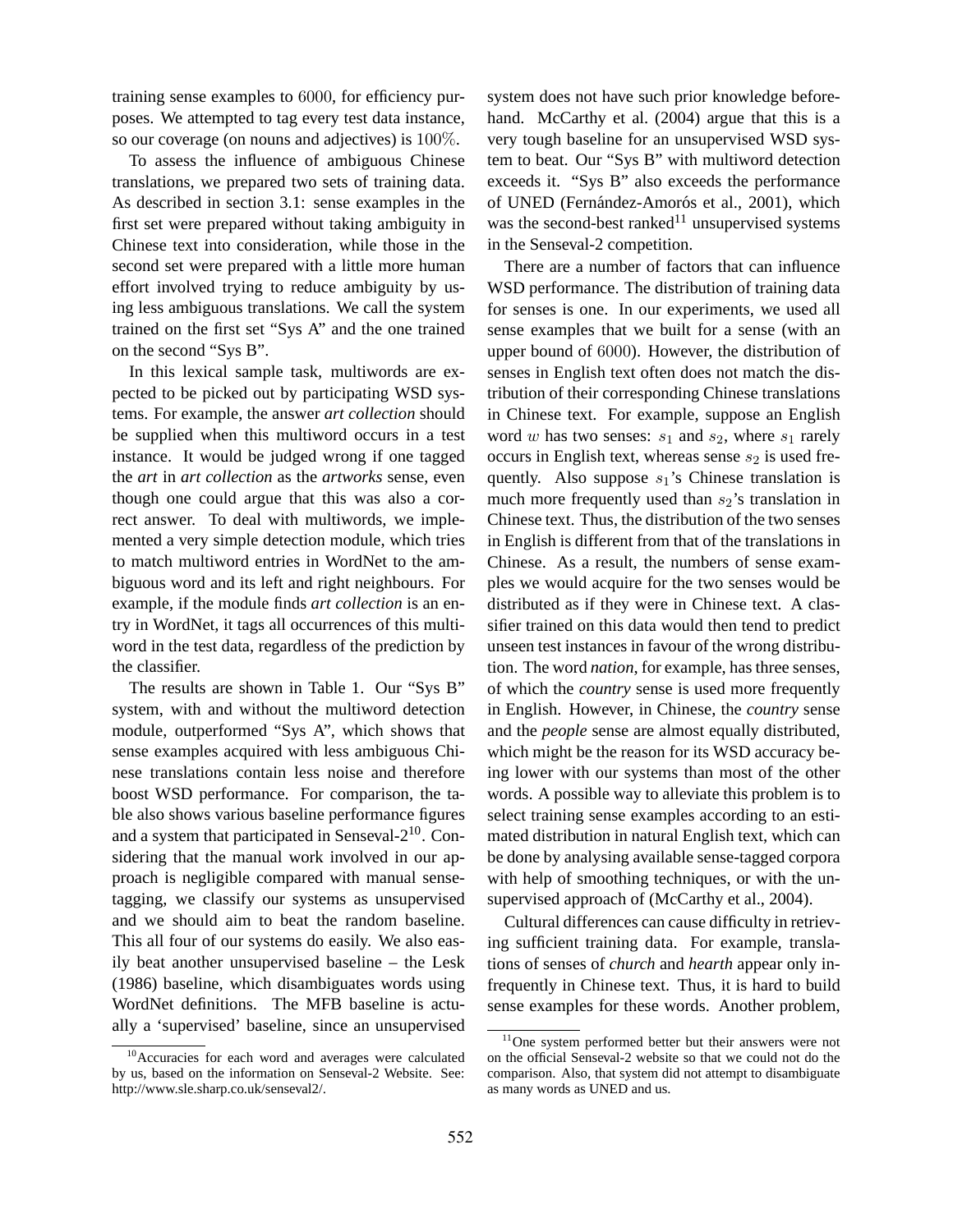training sense examples to 6000, for efficiency purposes. We attempted to tag every test data instance, so our coverage (on nouns and adjectives) is 100%.

To assess the influence of ambiguous Chinese translations, we prepared two sets of training data. As described in section 3.1: sense examples in the first set were prepared without taking ambiguity in Chinese text into consideration, while those in the second set were prepared with a little more human effort involved trying to reduce ambiguity by using less ambiguous translations. We call the system trained on the first set "Sys A" and the one trained on the second "Sys B".

In this lexical sample task, multiwords are expected to be picked out by participating WSD systems. For example, the answer *art collection* should be supplied when this multiword occurs in a test instance. It would be judged wrong if one tagged the *art* in *art collection* as the *artworks* sense, even though one could argue that this was also a correct answer. To deal with multiwords, we implemented a very simple detection module, which tries to match multiword entries in WordNet to the ambiguous word and its left and right neighbours. For example, if the module finds *art collection* is an entry in WordNet, it tags all occurrences of this multiword in the test data, regardless of the prediction by the classifier.

The results are shown in Table 1. Our "Sys B" system, with and without the multiword detection module, outperformed "Sys A", which shows that sense examples acquired with less ambiguous Chinese translations contain less noise and therefore boost WSD performance. For comparison, the table also shows various baseline performance figures and a system that participated in Senseval- $2^{10}$ . Considering that the manual work involved in our approach is negligible compared with manual sensetagging, we classify our systems as unsupervised and we should aim to beat the random baseline. This all four of our systems do easily. We also easily beat another unsupervised baseline – the Lesk (1986) baseline, which disambiguates words using WordNet definitions. The MFB baseline is actually a 'supervised' baseline, since an unsupervised

system does not have such prior knowledge beforehand. McCarthy et al. (2004) argue that this is a very tough baseline for an unsupervised WSD system to beat. Our "Sys B" with multiword detection exceeds it. "Sys B" also exceeds the performance of UNED (Fernández-Amorós et al., 2001), which was the second-best ranked $11$  unsupervised systems in the Senseval-2 competition.

There are a number of factors that can influence WSD performance. The distribution of training data for senses is one. In our experiments, we used all sense examples that we built for a sense (with an upper bound of 6000). However, the distribution of senses in English text often does not match the distribution of their corresponding Chinese translations in Chinese text. For example, suppose an English word w has two senses:  $s_1$  and  $s_2$ , where  $s_1$  rarely occurs in English text, whereas sense  $s_2$  is used frequently. Also suppose  $s_1$ 's Chinese translation is much more frequently used than  $s_2$ 's translation in Chinese text. Thus, the distribution of the two senses in English is different from that of the translations in Chinese. As a result, the numbers of sense examples we would acquire for the two senses would be distributed as if they were in Chinese text. A classifier trained on this data would then tend to predict unseen test instances in favour of the wrong distribution. The word *nation*, for example, has three senses, of which the *country* sense is used more frequently in English. However, in Chinese, the *country* sense and the *people* sense are almost equally distributed, which might be the reason for its WSD accuracy being lower with our systems than most of the other words. A possible way to alleviate this problem is to select training sense examples according to an estimated distribution in natural English text, which can be done by analysing available sense-tagged corpora with help of smoothing techniques, or with the unsupervised approach of (McCarthy et al., 2004).

Cultural differences can cause difficulty in retrieving sufficient training data. For example, translations of senses of *church* and *hearth* appear only infrequently in Chinese text. Thus, it is hard to build sense examples for these words. Another problem,

<sup>&</sup>lt;sup>10</sup>Accuracies for each word and averages were calculated by us, based on the information on Senseval-2 Website. See: http://www.sle.sharp.co.uk/senseval2/.

<sup>&</sup>lt;sup>11</sup>One system performed better but their answers were not on the official Senseval-2 website so that we could not do the comparison. Also, that system did not attempt to disambiguate as many words as UNED and us.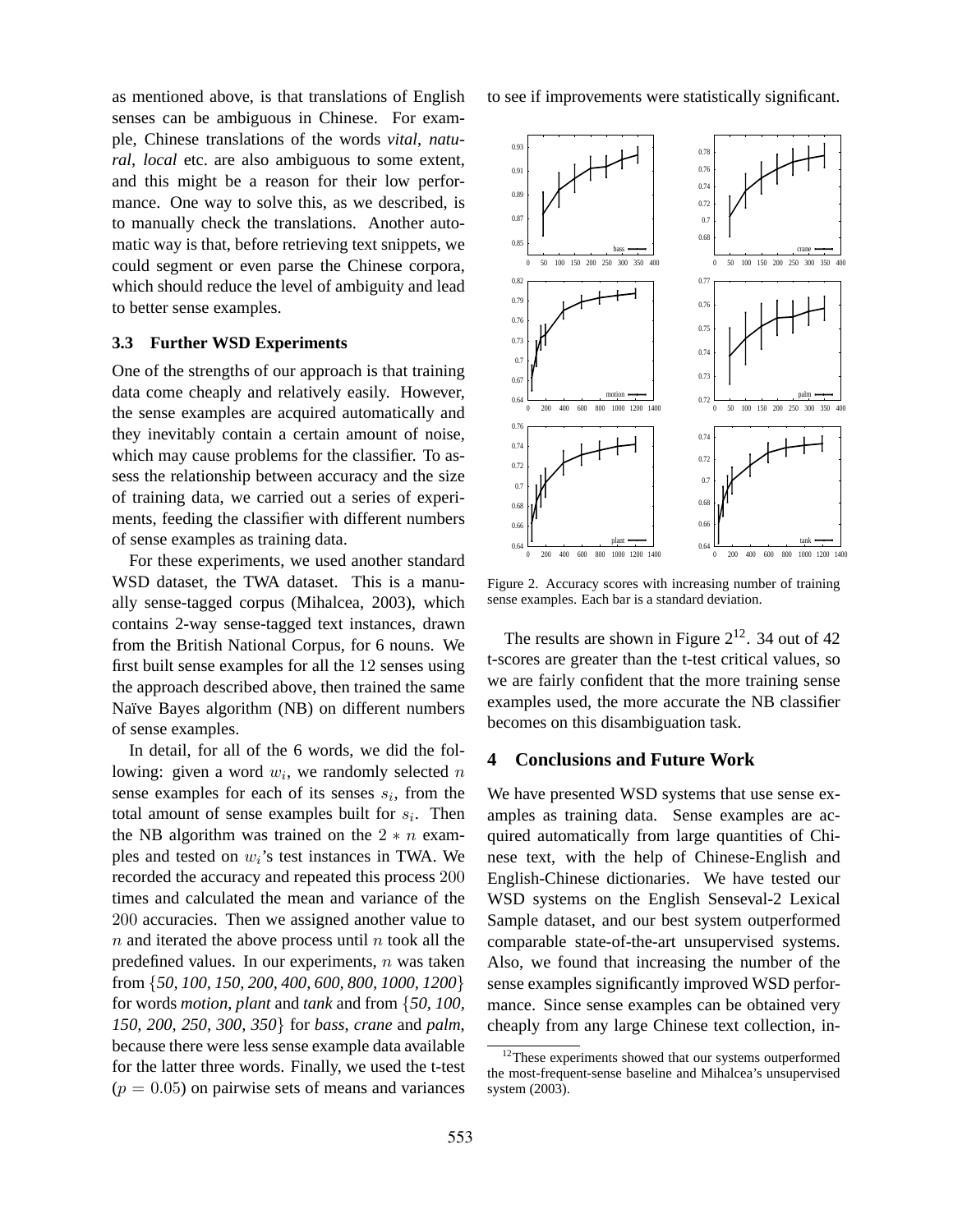as mentioned above, is that translations of English senses can be ambiguous in Chinese. For example, Chinese translations of the words *vital*, *natural*, *local* etc. are also ambiguous to some extent, and this might be a reason for their low performance. One way to solve this, as we described, is to manually check the translations. Another automatic way is that, before retrieving text snippets, we could segment or even parse the Chinese corpora, which should reduce the level of ambiguity and lead to better sense examples.

# **3.3 Further WSD Experiments**

One of the strengths of our approach is that training data come cheaply and relatively easily. However, the sense examples are acquired automatically and they inevitably contain a certain amount of noise, which may cause problems for the classifier. To assess the relationship between accuracy and the size of training data, we carried out a series of experiments, feeding the classifier with different numbers of sense examples as training data.

For these experiments, we used another standard WSD dataset, the TWA dataset. This is a manually sense-tagged corpus (Mihalcea, 2003), which contains 2-way sense-tagged text instances, drawn from the British National Corpus, for 6 nouns. We first built sense examples for all the 12 senses using the approach described above, then trained the same Naïve Bayes algorithm (NB) on different numbers of sense examples.

In detail, for all of the 6 words, we did the following: given a word  $w_i$ , we randomly selected n sense examples for each of its senses  $s_i$ , from the total amount of sense examples built for  $s_i$ . Then the NB algorithm was trained on the  $2 * n$  examples and tested on  $w_i$ 's test instances in TWA. We recorded the accuracy and repeated this process 200 times and calculated the mean and variance of the 200 accuracies. Then we assigned another value to  $n$  and iterated the above process until  $n$  took all the predefined values. In our experiments,  $n$  was taken from {*50, 100, 150, 200, 400, 600, 800, 1000, 1200*} for words *motion*, *plant* and *tank* and from {*50, 100, 150, 200, 250, 300, 350*} for *bass*, *crane* and *palm*, because there were less sense example data available for the latter three words. Finally, we used the t-test  $(p = 0.05)$  on pairwise sets of means and variances

to see if improvements were statistically significant.



Figure 2. Accuracy scores with increasing number of training sense examples. Each bar is a standard deviation.

The results are shown in Figure  $2^{12}$ . 34 out of 42 t-scores are greater than the t-test critical values, so we are fairly confident that the more training sense examples used, the more accurate the NB classifier becomes on this disambiguation task.

### **4 Conclusions and Future Work**

We have presented WSD systems that use sense examples as training data. Sense examples are acquired automatically from large quantities of Chinese text, with the help of Chinese-English and English-Chinese dictionaries. We have tested our WSD systems on the English Senseval-2 Lexical Sample dataset, and our best system outperformed comparable state-of-the-art unsupervised systems. Also, we found that increasing the number of the sense examples significantly improved WSD performance. Since sense examples can be obtained very cheaply from any large Chinese text collection, in-

<sup>&</sup>lt;sup>12</sup>These experiments showed that our systems outperformed the most-frequent-sense baseline and Mihalcea's unsupervised system (2003).